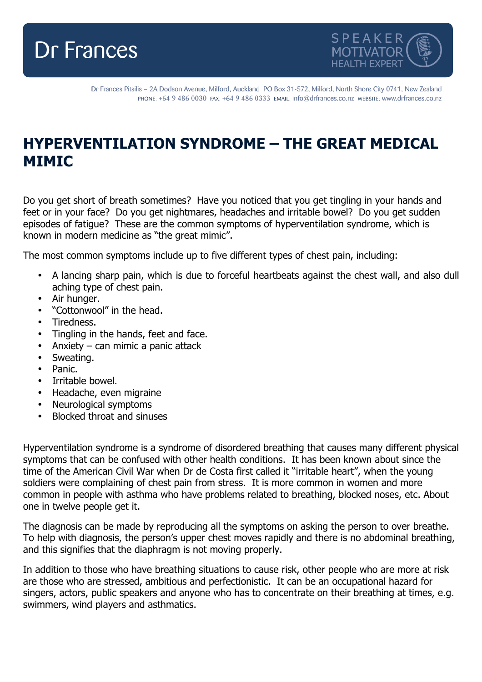



Dr Frances Pitsilis - 2A Dodson Avenue, Milford, Auckland PO Box 31-572, Milford, North Shore City 0741, New Zealand PHONE: +64 9 486 0030 FAX: +64 9 486 0333 EMAIL: info@drfrances.co.nz WEBSITE: www.drfrances.co.nz

## **HYPERVENTILATION SYNDROME – THE GREAT MEDICAL MIMIC**

Do you get short of breath sometimes? Have you noticed that you get tingling in your hands and feet or in your face? Do you get nightmares, headaches and irritable bowel? Do you get sudden episodes of fatigue? These are the common symptoms of hyperventilation syndrome, which is known in modern medicine as "the great mimic".

The most common symptoms include up to five different types of chest pain, including:

- A lancing sharp pain, which is due to forceful heartbeats against the chest wall, and also dull aching type of chest pain.
- Air hunger.
- "Cottonwool" in the head.
- Tiredness.
- Tingling in the hands, feet and face.
- Anxiety can mimic a panic attack
- Sweating.
- Panic.
- Irritable bowel.
- Headache, even migraine
- Neurological symptoms
- Blocked throat and sinuses

Hyperventilation syndrome is a syndrome of disordered breathing that causes many different physical symptoms that can be confused with other health conditions. It has been known about since the time of the American Civil War when Dr de Costa first called it "irritable heart", when the young soldiers were complaining of chest pain from stress. It is more common in women and more common in people with asthma who have problems related to breathing, blocked noses, etc. About one in twelve people get it.

The diagnosis can be made by reproducing all the symptoms on asking the person to over breathe. To help with diagnosis, the person's upper chest moves rapidly and there is no abdominal breathing, and this signifies that the diaphragm is not moving properly.

In addition to those who have breathing situations to cause risk, other people who are more at risk are those who are stressed, ambitious and perfectionistic. It can be an occupational hazard for singers, actors, public speakers and anyone who has to concentrate on their breathing at times, e.g. swimmers, wind players and asthmatics.